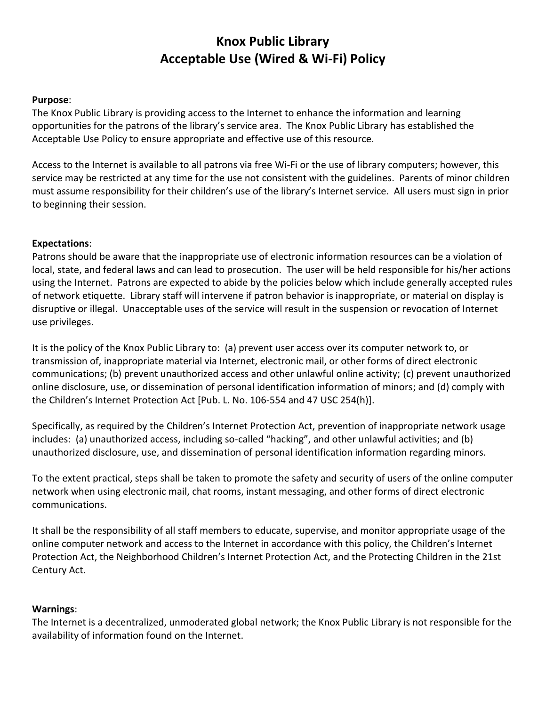# **Knox Public Library Acceptable Use (Wired & Wi-Fi) Policy**

#### **Purpose**:

The Knox Public Library is providing access to the Internet to enhance the information and learning opportunities for the patrons of the library's service area. The Knox Public Library has established the Acceptable Use Policy to ensure appropriate and effective use of this resource.

Access to the Internet is available to all patrons via free Wi-Fi or the use of library computers; however, this service may be restricted at any time for the use not consistent with the guidelines. Parents of minor children must assume responsibility for their children's use of the library's Internet service. All users must sign in prior to beginning their session.

### **Expectations**:

Patrons should be aware that the inappropriate use of electronic information resources can be a violation of local, state, and federal laws and can lead to prosecution. The user will be held responsible for his/her actions using the Internet. Patrons are expected to abide by the policies below which include generally accepted rules of network etiquette. Library staff will intervene if patron behavior is inappropriate, or material on display is disruptive or illegal. Unacceptable uses of the service will result in the suspension or revocation of Internet use privileges.

It is the policy of the Knox Public Library to: (a) prevent user access over its computer network to, or transmission of, inappropriate material via Internet, electronic mail, or other forms of direct electronic communications; (b) prevent unauthorized access and other unlawful online activity; (c) prevent unauthorized online disclosure, use, or dissemination of personal identification information of minors; and (d) comply with the Children's Internet Protection Act [Pub. L. No. 106-554 and 47 USC 254(h)].

Specifically, as required by the Children's Internet Protection Act, prevention of inappropriate network usage includes: (a) unauthorized access, including so-called "hacking", and other unlawful activities; and (b) unauthorized disclosure, use, and dissemination of personal identification information regarding minors.

To the extent practical, steps shall be taken to promote the safety and security of users of the online computer network when using electronic mail, chat rooms, instant messaging, and other forms of direct electronic communications.

It shall be the responsibility of all staff members to educate, supervise, and monitor appropriate usage of the online computer network and access to the Internet in accordance with this policy, the Children's Internet Protection Act, the Neighborhood Children's Internet Protection Act, and the Protecting Children in the 21st Century Act.

#### **Warnings**:

The Internet is a decentralized, unmoderated global network; the Knox Public Library is not responsible for the availability of information found on the Internet.